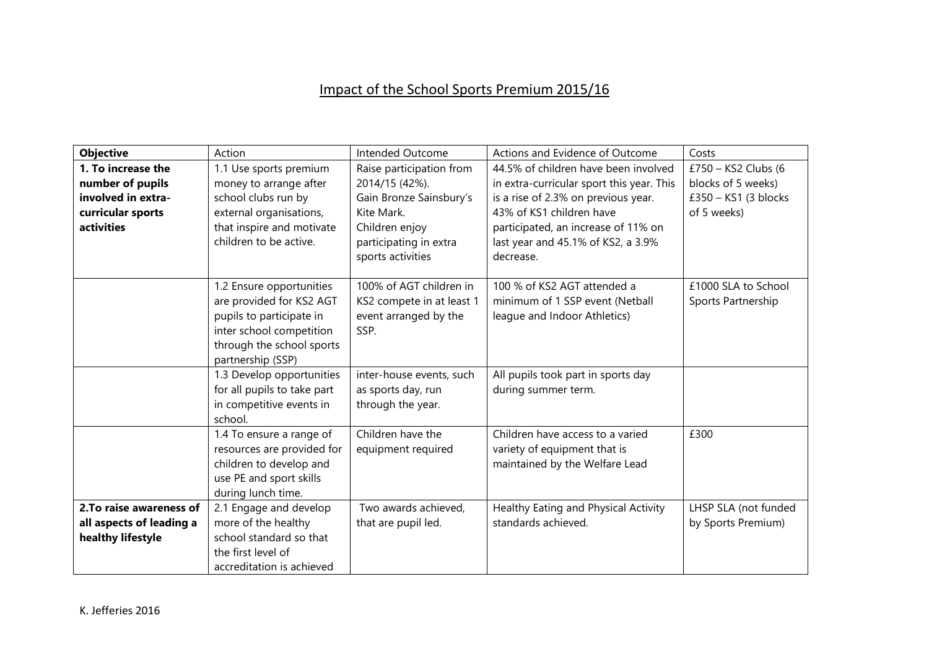## Impact of the School Sports Premium 2015/16

| <b>Objective</b>         | Action                      | Intended Outcome          | Actions and Evidence of Outcome           | Costs                |
|--------------------------|-----------------------------|---------------------------|-------------------------------------------|----------------------|
| 1. To increase the       | 1.1 Use sports premium      | Raise participation from  | 44.5% of children have been involved      | £750 - KS2 Clubs (6  |
| number of pupils         | money to arrange after      | 2014/15 (42%).            | in extra-curricular sport this year. This | blocks of 5 weeks)   |
| involved in extra-       | school clubs run by         | Gain Bronze Sainsbury's   | is a rise of 2.3% on previous year.       | £350 - KS1 (3 blocks |
| curricular sports        | external organisations,     | Kite Mark.                | 43% of KS1 children have                  | of 5 weeks)          |
| activities               | that inspire and motivate   | Children enjoy            | participated, an increase of 11% on       |                      |
|                          | children to be active.      | participating in extra    | last year and 45.1% of KS2, a 3.9%        |                      |
|                          |                             | sports activities         | decrease.                                 |                      |
|                          |                             |                           |                                           |                      |
|                          | 1.2 Ensure opportunities    | 100% of AGT children in   | 100 % of KS2 AGT attended a               | £1000 SLA to School  |
|                          | are provided for KS2 AGT    | KS2 compete in at least 1 | minimum of 1 SSP event (Netball           | Sports Partnership   |
|                          | pupils to participate in    | event arranged by the     | league and Indoor Athletics)              |                      |
|                          | inter school competition    | SSP.                      |                                           |                      |
|                          | through the school sports   |                           |                                           |                      |
|                          | partnership (SSP)           |                           |                                           |                      |
|                          | 1.3 Develop opportunities   | inter-house events, such  | All pupils took part in sports day        |                      |
|                          | for all pupils to take part | as sports day, run        | during summer term.                       |                      |
|                          | in competitive events in    | through the year.         |                                           |                      |
|                          | school.                     |                           |                                           |                      |
|                          | 1.4 To ensure a range of    | Children have the         | Children have access to a varied          | £300                 |
|                          | resources are provided for  | equipment required        | variety of equipment that is              |                      |
|                          | children to develop and     |                           | maintained by the Welfare Lead            |                      |
|                          | use PE and sport skills     |                           |                                           |                      |
|                          | during lunch time.          |                           |                                           |                      |
| 2. To raise awareness of | 2.1 Engage and develop      | Two awards achieved,      | Healthy Eating and Physical Activity      | LHSP SLA (not funded |
| all aspects of leading a | more of the healthy         | that are pupil led.       | standards achieved.                       | by Sports Premium)   |
| healthy lifestyle        | school standard so that     |                           |                                           |                      |
|                          | the first level of          |                           |                                           |                      |
|                          | accreditation is achieved   |                           |                                           |                      |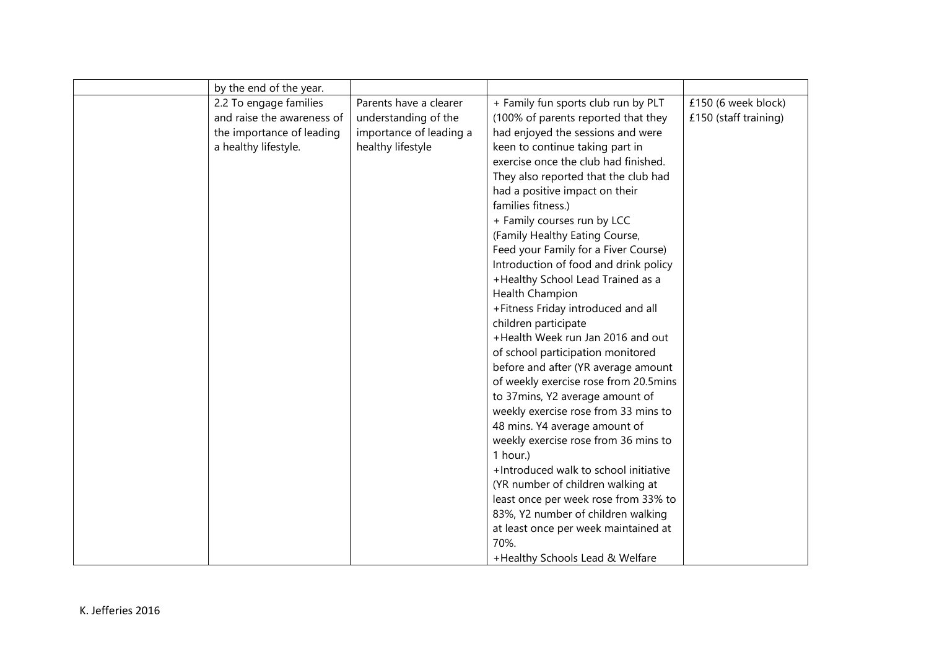| by the end of the year.    |                         |                                       |                       |
|----------------------------|-------------------------|---------------------------------------|-----------------------|
| 2.2 To engage families     | Parents have a clearer  | + Family fun sports club run by PLT   | £150 (6 week block)   |
| and raise the awareness of | understanding of the    | (100% of parents reported that they   | £150 (staff training) |
| the importance of leading  | importance of leading a | had enjoyed the sessions and were     |                       |
| a healthy lifestyle.       | healthy lifestyle       | keen to continue taking part in       |                       |
|                            |                         | exercise once the club had finished.  |                       |
|                            |                         | They also reported that the club had  |                       |
|                            |                         | had a positive impact on their        |                       |
|                            |                         | families fitness.)                    |                       |
|                            |                         | + Family courses run by LCC           |                       |
|                            |                         | (Family Healthy Eating Course,        |                       |
|                            |                         | Feed your Family for a Fiver Course)  |                       |
|                            |                         | Introduction of food and drink policy |                       |
|                            |                         | +Healthy School Lead Trained as a     |                       |
|                            |                         | Health Champion                       |                       |
|                            |                         | +Fitness Friday introduced and all    |                       |
|                            |                         | children participate                  |                       |
|                            |                         | +Health Week run Jan 2016 and out     |                       |
|                            |                         | of school participation monitored     |                       |
|                            |                         | before and after (YR average amount   |                       |
|                            |                         | of weekly exercise rose from 20.5mins |                       |
|                            |                         | to 37mins, Y2 average amount of       |                       |
|                            |                         | weekly exercise rose from 33 mins to  |                       |
|                            |                         | 48 mins. Y4 average amount of         |                       |
|                            |                         | weekly exercise rose from 36 mins to  |                       |
|                            |                         | 1 hour.)                              |                       |
|                            |                         | +Introduced walk to school initiative |                       |
|                            |                         | (YR number of children walking at     |                       |
|                            |                         | least once per week rose from 33% to  |                       |
|                            |                         | 83%, Y2 number of children walking    |                       |
|                            |                         | at least once per week maintained at  |                       |
|                            |                         | 70%.                                  |                       |
|                            |                         | +Healthy Schools Lead & Welfare       |                       |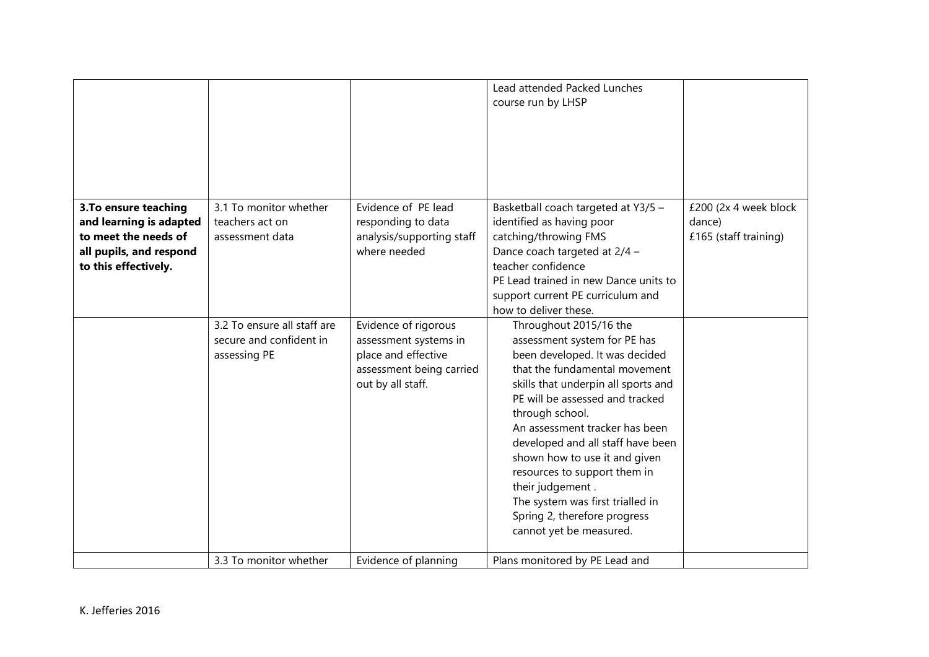|                                                                                                                             |                                                                        |                                                                                                                       | Lead attended Packed Lunches<br>course run by LHSP                                                                                                                                                                                                                                                                                                                                                                                                                                |                                                          |
|-----------------------------------------------------------------------------------------------------------------------------|------------------------------------------------------------------------|-----------------------------------------------------------------------------------------------------------------------|-----------------------------------------------------------------------------------------------------------------------------------------------------------------------------------------------------------------------------------------------------------------------------------------------------------------------------------------------------------------------------------------------------------------------------------------------------------------------------------|----------------------------------------------------------|
| 3. To ensure teaching<br>and learning is adapted<br>to meet the needs of<br>all pupils, and respond<br>to this effectively. | 3.1 To monitor whether<br>teachers act on<br>assessment data           | Evidence of PE lead<br>responding to data<br>analysis/supporting staff<br>where needed                                | Basketball coach targeted at Y3/5 -<br>identified as having poor<br>catching/throwing FMS<br>Dance coach targeted at 2/4 -<br>teacher confidence<br>PE Lead trained in new Dance units to<br>support current PE curriculum and<br>how to deliver these.                                                                                                                                                                                                                           | £200 (2x 4 week block<br>dance)<br>£165 (staff training) |
|                                                                                                                             | 3.2 To ensure all staff are<br>secure and confident in<br>assessing PE | Evidence of rigorous<br>assessment systems in<br>place and effective<br>assessment being carried<br>out by all staff. | Throughout 2015/16 the<br>assessment system for PE has<br>been developed. It was decided<br>that the fundamental movement<br>skills that underpin all sports and<br>PE will be assessed and tracked<br>through school.<br>An assessment tracker has been<br>developed and all staff have been<br>shown how to use it and given<br>resources to support them in<br>their judgement.<br>The system was first trialled in<br>Spring 2, therefore progress<br>cannot yet be measured. |                                                          |
|                                                                                                                             | 3.3 To monitor whether                                                 | Evidence of planning                                                                                                  | Plans monitored by PE Lead and                                                                                                                                                                                                                                                                                                                                                                                                                                                    |                                                          |